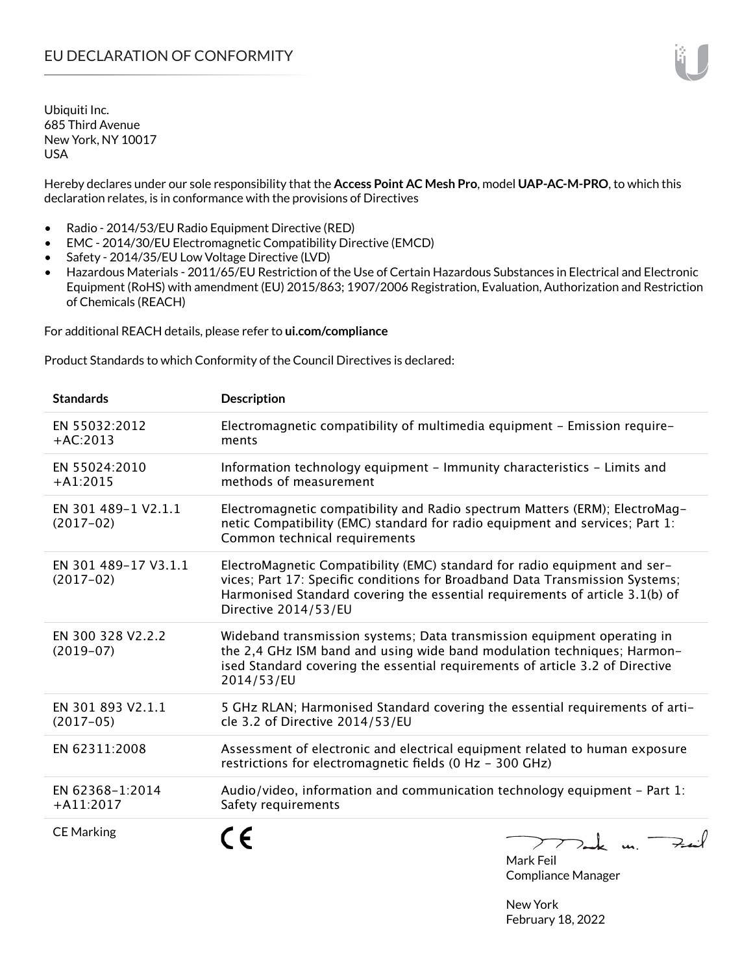Hereby declares under our sole responsibility that the **Access Point AC Mesh Pro**, model **UAP-AC-M-PRO**, to which this declaration relates, is in conformance with the provisions of Directives

- Radio 2014/53/EU Radio Equipment Directive (RED)
- EMC 2014/30/EU Electromagnetic Compatibility Directive (EMCD)
- Safety 2014/35/EU Low Voltage Directive (LVD)
- Hazardous Materials 2011/65/EU Restriction of the Use of Certain Hazardous Substances in Electrical and Electronic Equipment (RoHS) with amendment (EU) 2015/863; 1907/2006 Registration, Evaluation, Authorization and Restriction of Chemicals (REACH)

For additional REACH details, please refer to **ui.com/compliance**

Product Standards to which Conformity of the Council Directives is declared:

| <b>Standards</b>                    | <b>Description</b>                                                                                                                                                                                                                                                |
|-------------------------------------|-------------------------------------------------------------------------------------------------------------------------------------------------------------------------------------------------------------------------------------------------------------------|
| EN 55032:2012<br>$+AC:2013$         | Electromagnetic compatibility of multimedia equipment - Emission require-<br>ments                                                                                                                                                                                |
| EN 55024:2010<br>$+A1:2015$         | Information technology equipment - Immunity characteristics - Limits and<br>methods of measurement                                                                                                                                                                |
| EN 301 489-1 V2.1.1<br>$(2017-02)$  | Electromagnetic compatibility and Radio spectrum Matters (ERM); ElectroMag-<br>netic Compatibility (EMC) standard for radio equipment and services; Part 1:<br>Common technical requirements                                                                      |
| EN 301 489-17 V3.1.1<br>$(2017-02)$ | ElectroMagnetic Compatibility (EMC) standard for radio equipment and ser-<br>vices; Part 17: Specific conditions for Broadband Data Transmission Systems;<br>Harmonised Standard covering the essential requirements of article 3.1(b) of<br>Directive 2014/53/EU |
| EN 300 328 V2.2.2<br>$(2019-07)$    | Wideband transmission systems; Data transmission equipment operating in<br>the 2,4 GHz ISM band and using wide band modulation techniques; Harmon-<br>ised Standard covering the essential requirements of article 3.2 of Directive<br>2014/53/EU                 |
| EN 301 893 V2.1.1<br>$(2017-05)$    | 5 GHz RLAN; Harmonised Standard covering the essential requirements of arti-<br>cle 3.2 of Directive 2014/53/EU                                                                                                                                                   |
| EN 62311:2008                       | Assessment of electronic and electrical equipment related to human exposure<br>restrictions for electromagnetic fields (0 Hz - 300 GHz)                                                                                                                           |
| EN 62368-1:2014<br>$+A11:2017$      | Audio/video, information and communication technology equipment - Part 1:<br>Safety requirements                                                                                                                                                                  |
| <b>CE Marking</b>                   | mak m. Fuil                                                                                                                                                                                                                                                       |

Mark Feil Compliance Manager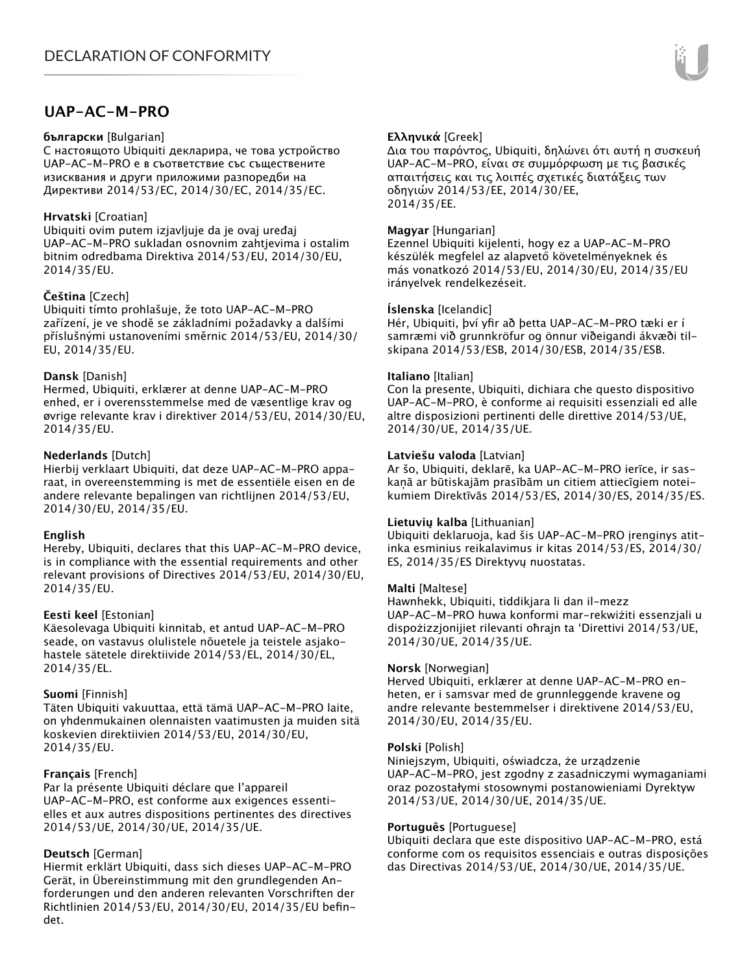# **UAP-AC-M-PRO**

#### **български** [Bulgarian]

С настоящото Ubiquiti декларира, че това устройство UAP-AC-M-PRO е в съответствие със съществените изисквания и други приложими разпоредби на Директиви 2014/53/EC, 2014/30/ЕС, 2014/35/ЕС.

## **Hrvatski** [Croatian]

Ubiquiti ovim putem izjavljuje da je ovaj uređaj UAP-AC-M-PRO sukladan osnovnim zahtjevima i ostalim bitnim odredbama Direktiva 2014/53/EU, 2014/30/EU, 2014/35/EU.

## **Čeština** [Czech]

Ubiquiti tímto prohlašuje, že toto UAP-AC-M-PRO zařízení, je ve shodě se základními požadavky a dalšími příslušnými ustanoveními směrnic 2014/53/EU, 2014/30/ EU, 2014/35/EU.

## **Dansk** [Danish]

Hermed, Ubiquiti, erklærer at denne UAP-AC-M-PRO enhed, er i overensstemmelse med de væsentlige krav og øvrige relevante krav i direktiver 2014/53/EU, 2014/30/EU, 2014/35/EU.

## **Nederlands** [Dutch]

Hierbij verklaart Ubiquiti, dat deze UAP-AC-M-PRO apparaat, in overeenstemming is met de essentiële eisen en de andere relevante bepalingen van richtlijnen 2014/53/EU, 2014/30/EU, 2014/35/EU.

## **English**

Hereby, Ubiquiti, declares that this UAP-AC-M-PRO device, is in compliance with the essential requirements and other relevant provisions of Directives 2014/53/EU, 2014/30/EU, 2014/35/EU.

## **Eesti keel** [Estonian]

Käesolevaga Ubiquiti kinnitab, et antud UAP-AC-M-PRO seade, on vastavus olulistele nõuetele ja teistele asjakohastele sätetele direktiivide 2014/53/EL, 2014/30/EL, 2014/35/EL.

## **Suomi** [Finnish]

Täten Ubiquiti vakuuttaa, että tämä UAP-AC-M-PRO laite, on yhdenmukainen olennaisten vaatimusten ja muiden sitä koskevien direktiivien 2014/53/EU, 2014/30/EU, 2014/35/EU.

## **Français** [French]

Par la présente Ubiquiti déclare que l'appareil UAP-AC-M-PRO, est conforme aux exigences essentielles et aux autres dispositions pertinentes des directives 2014/53/UE, 2014/30/UE, 2014/35/UE.

# **Deutsch** [German]

Hiermit erklärt Ubiquiti, dass sich dieses UAP-AC-M-PRO Gerät, in Übereinstimmung mit den grundlegenden Anforderungen und den anderen relevanten Vorschriften der Richtlinien 2014/53/EU, 2014/30/EU, 2014/35/EU befindet.

## **Ελληνικά** [Greek]

Δια του παρόντος, Ubiquiti, δηλώνει ότι αυτή η συσκευή UAP-AC-M-PRO, είναι σε συμμόρφωση με τις βασικές απαιτήσεις και τις λοιπές σχετικές διατάξεις των οδηγιών 2014/53/EE, 2014/30/EE, 2014/35/EE.

## **Magyar** [Hungarian]

Ezennel Ubiquiti kijelenti, hogy ez a UAP-AC-M-PRO készülék megfelel az alapvető követelményeknek és más vonatkozó 2014/53/EU, 2014/30/EU, 2014/35/EU irányelvek rendelkezéseit.

## **Íslenska** [Icelandic]

Hér, Ubiquiti, því yfir að þetta UAP-AC-M-PRO tæki er í samræmi við grunnkröfur og önnur viðeigandi ákvæði tilskipana 2014/53/ESB, 2014/30/ESB, 2014/35/ESB.

#### **Italiano** [Italian]

Con la presente, Ubiquiti, dichiara che questo dispositivo UAP-AC-M-PRO, è conforme ai requisiti essenziali ed alle altre disposizioni pertinenti delle direttive 2014/53/UE, 2014/30/UE, 2014/35/UE.

## **Latviešu valoda** [Latvian]

Ar šo, Ubiquiti, deklarē, ka UAP-AC-M-PRO ierīce, ir saskaņā ar būtiskajām prasībām un citiem attiecīgiem noteikumiem Direktīvās 2014/53/ES, 2014/30/ES, 2014/35/ES.

## **Lietuvių kalba** [Lithuanian]

Ubiquiti deklaruoja, kad šis UAP-AC-M-PRO įrenginys atitinka esminius reikalavimus ir kitas 2014/53/ES, 2014/30/ ES, 2014/35/ES Direktyvų nuostatas.

## **Malti** [Maltese]

Hawnhekk, Ubiquiti, tiddikjara li dan il-mezz UAP-AC-M-PRO huwa konformi mar-rekwiżiti essenzjali u dispożizzjonijiet rilevanti oħrajn ta 'Direttivi 2014/53/UE, 2014/30/UE, 2014/35/UE.

## **Norsk** [Norwegian]

Herved Ubiquiti, erklærer at denne UAP-AC-M-PRO enheten, er i samsvar med de grunnleggende kravene og andre relevante bestemmelser i direktivene 2014/53/EU, 2014/30/EU, 2014/35/EU.

#### **Polski** [Polish]

Niniejszym, Ubiquiti, oświadcza, że urządzenie UAP-AC-M-PRO, jest zgodny z zasadniczymi wymaganiami oraz pozostałymi stosownymi postanowieniami Dyrektyw 2014/53/UE, 2014/30/UE, 2014/35/UE.

## **Português** [Portuguese]

Ubiquiti declara que este dispositivo UAP-AC-M-PRO, está conforme com os requisitos essenciais e outras disposições das Directivas 2014/53/UE, 2014/30/UE, 2014/35/UE.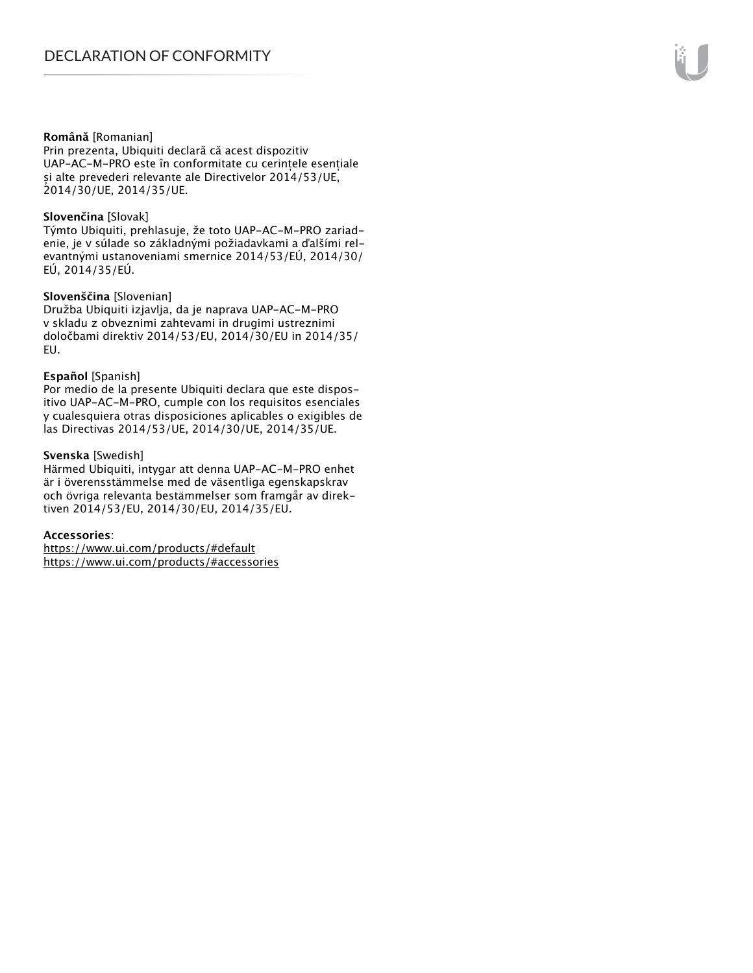#### **Română** [Romanian]

Prin prezenta, Ubiquiti declară că acest dispozitiv UAP-AC-M-PRO este în conformitate cu cerințele esențiale și alte prevederi relevante ale Directivelor 2014/53/UE, 2014/30/UE, 2014/35/UE.

#### **Slovenčina** [Slovak]

Týmto Ubiquiti, prehlasuje, že toto UAP-AC-M-PRO zariadenie, je v súlade so základnými požiadavkami a ďalšími relevantnými ustanoveniami smernice 2014/53/EÚ, 2014/30/ EÚ, 2014/35/EÚ.

#### **Slovenščina** [Slovenian]

Družba Ubiquiti izjavlja, da je naprava UAP-AC-M-PRO v skladu z obveznimi zahtevami in drugimi ustreznimi določbami direktiv 2014/53/EU, 2014/30/EU in 2014/35/ EU.

#### **Español** [Spanish]

Por medio de la presente Ubiquiti declara que este dispositivo UAP-AC-M-PRO, cumple con los requisitos esenciales y cualesquiera otras disposiciones aplicables o exigibles de las Directivas 2014/53/UE, 2014/30/UE, 2014/35/UE.

#### **Svenska** [Swedish]

Härmed Ubiquiti, intygar att denna UAP-AC-M-PRO enhet är i överensstämmelse med de väsentliga egenskapskrav och övriga relevanta bestämmelser som framgår av direktiven 2014/53/EU, 2014/30/EU, 2014/35/EU.

#### **Accessories**:

https://www.ui.com/products/#default https://www.ui.com/products/#accessories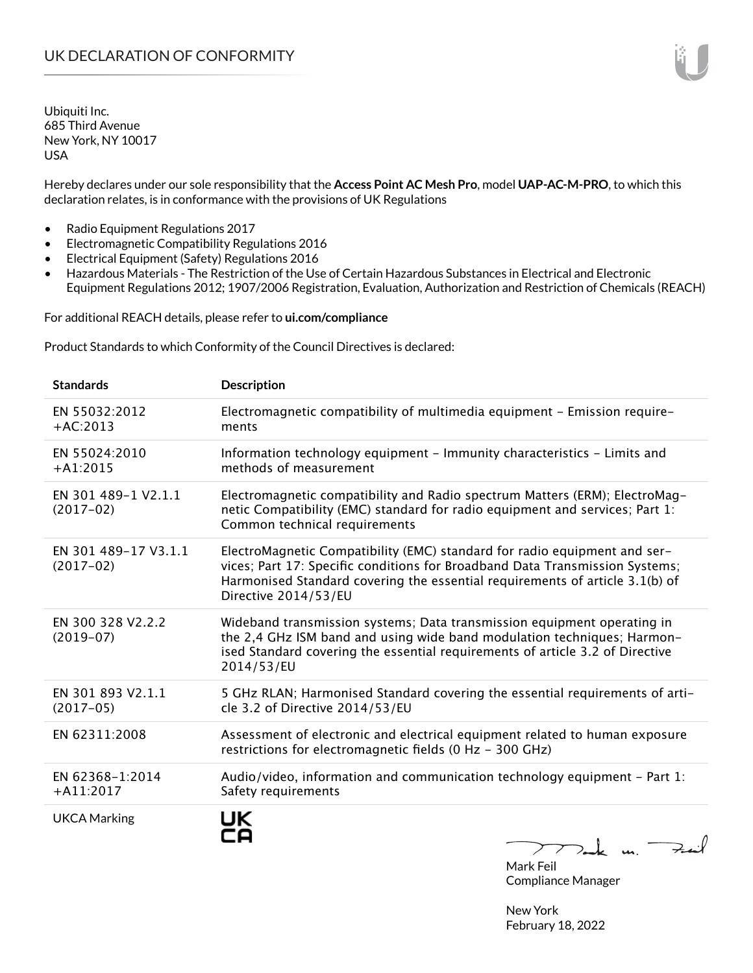Hereby declares under our sole responsibility that the **Access Point AC Mesh Pro**, model **UAP-AC-M-PRO**, to which this declaration relates, is in conformance with the provisions of UK Regulations

- Radio Equipment Regulations 2017
- Electromagnetic Compatibility Regulations 2016
- Electrical Equipment (Safety) Regulations 2016
- Hazardous Materials The Restriction of the Use of Certain Hazardous Substances in Electrical and Electronic Equipment Regulations 2012; 1907/2006 Registration, Evaluation, Authorization and Restriction of Chemicals (REACH)

For additional REACH details, please refer to **ui.com/compliance**

Product Standards to which Conformity of the Council Directives is declared:

| <b>Standards</b>                    | <b>Description</b>                                                                                                                                                                                                                                                |
|-------------------------------------|-------------------------------------------------------------------------------------------------------------------------------------------------------------------------------------------------------------------------------------------------------------------|
| EN 55032:2012<br>$+AC:2013$         | Electromagnetic compatibility of multimedia equipment - Emission require-<br>ments                                                                                                                                                                                |
| EN 55024:2010<br>$+A1:2015$         | Information technology equipment - Immunity characteristics - Limits and<br>methods of measurement                                                                                                                                                                |
| EN 301 489-1 V2.1.1<br>$(2017-02)$  | Electromagnetic compatibility and Radio spectrum Matters (ERM); ElectroMag-<br>netic Compatibility (EMC) standard for radio equipment and services; Part 1:<br>Common technical requirements                                                                      |
| EN 301 489-17 V3.1.1<br>$(2017-02)$ | ElectroMagnetic Compatibility (EMC) standard for radio equipment and ser-<br>vices; Part 17: Specific conditions for Broadband Data Transmission Systems;<br>Harmonised Standard covering the essential requirements of article 3.1(b) of<br>Directive 2014/53/EU |
| EN 300 328 V2.2.2<br>$(2019-07)$    | Wideband transmission systems; Data transmission equipment operating in<br>the 2,4 GHz ISM band and using wide band modulation techniques; Harmon-<br>ised Standard covering the essential requirements of article 3.2 of Directive<br>2014/53/EU                 |
| EN 301 893 V2.1.1<br>$(2017-05)$    | 5 GHz RLAN; Harmonised Standard covering the essential requirements of arti-<br>cle 3.2 of Directive 2014/53/EU                                                                                                                                                   |
| EN 62311:2008                       | Assessment of electronic and electrical equipment related to human exposure<br>restrictions for electromagnetic fields (0 Hz - 300 GHz)                                                                                                                           |
| EN 62368-1:2014<br>$+A11:2017$      | Audio/video, information and communication technology equipment - Part 1:<br>Safety requirements                                                                                                                                                                  |
| <b>UKCA Marking</b>                 | UK<br>Dank m.                                                                                                                                                                                                                                                     |

Mark Feil Compliance Manager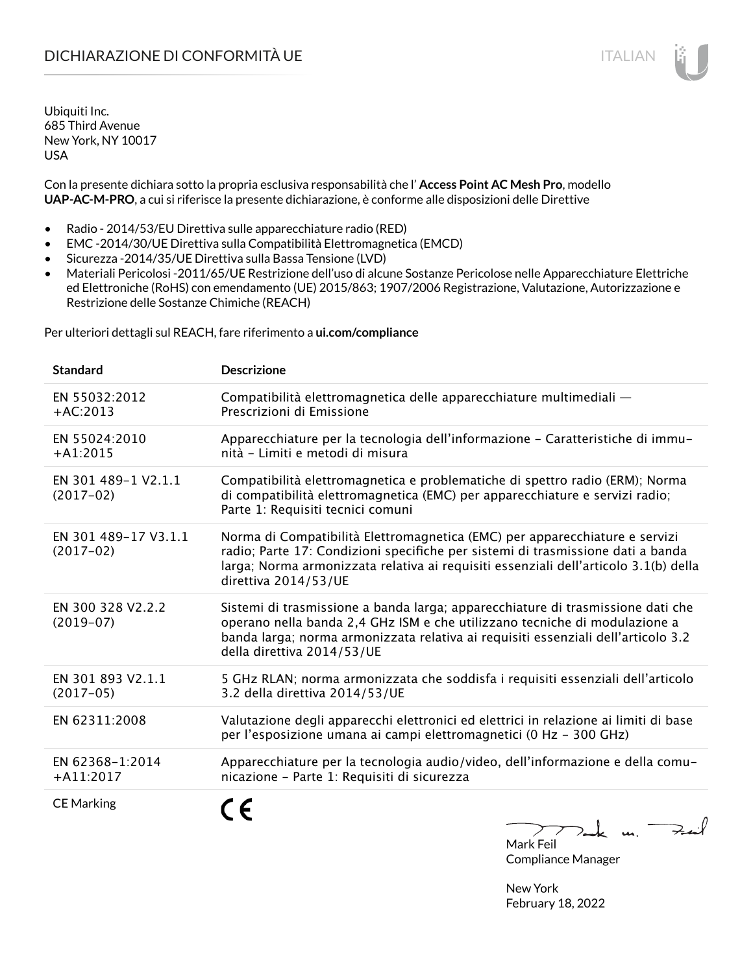# DICHIARAZIONE DI CONFORMITÀ UE ITALIAN ITALIAN

Ubiquiti Inc. 685 Third Avenue New York, NY 10017 USA

Con la presente dichiara sotto la propria esclusiva responsabilità che l' **Access Point AC Mesh Pro**, modello **UAP-AC-M-PRO**, a cui si riferisce la presente dichiarazione, è conforme alle disposizioni delle Direttive

- Radio 2014/53/EU Direttiva sulle apparecchiature radio (RED)
- EMC -2014/30/UE Direttiva sulla Compatibilità Elettromagnetica (EMCD)
- Sicurezza -2014/35/UE Direttiva sulla Bassa Tensione (LVD)
- Materiali Pericolosi -2011/65/UE Restrizione dell'uso di alcune Sostanze Pericolose nelle Apparecchiature Elettriche ed Elettroniche (RoHS) con emendamento (UE) 2015/863; 1907/2006 Registrazione, Valutazione, Autorizzazione e Restrizione delle Sostanze Chimiche (REACH)

Per ulteriori dettagli sul REACH, fare riferimento a **ui.com/compliance**

| <b>Standard</b>                     | <b>Descrizione</b>                                                                                                                                                                                                                                                               |
|-------------------------------------|----------------------------------------------------------------------------------------------------------------------------------------------------------------------------------------------------------------------------------------------------------------------------------|
| EN 55032:2012<br>$+AC:2013$         | Compatibilità elettromagnetica delle apparecchiature multimediali —<br>Prescrizioni di Emissione                                                                                                                                                                                 |
| EN 55024:2010<br>$+A1:2015$         | Apparecchiature per la tecnologia dell'informazione - Caratteristiche di immu-<br>nità - Limiti e metodi di misura                                                                                                                                                               |
| EN 301 489-1 V2.1.1<br>$(2017-02)$  | Compatibilità elettromagnetica e problematiche di spettro radio (ERM); Norma<br>di compatibilità elettromagnetica (EMC) per apparecchiature e servizi radio;<br>Parte 1: Requisiti tecnici comuni                                                                                |
| EN 301 489-17 V3.1.1<br>$(2017-02)$ | Norma di Compatibilità Elettromagnetica (EMC) per apparecchiature e servizi<br>radio; Parte 17: Condizioni specifiche per sistemi di trasmissione dati a banda<br>larga; Norma armonizzata relativa ai requisiti essenziali dell'articolo 3.1(b) della<br>direttiva 2014/53/UE   |
| EN 300 328 V2.2.2<br>$(2019-07)$    | Sistemi di trasmissione a banda larga; apparecchiature di trasmissione dati che<br>operano nella banda 2,4 GHz ISM e che utilizzano tecniche di modulazione a<br>banda larga; norma armonizzata relativa ai requisiti essenziali dell'articolo 3.2<br>della direttiva 2014/53/UE |
| EN 301 893 V2.1.1<br>$(2017-05)$    | 5 GHz RLAN; norma armonizzata che soddisfa i requisiti essenziali dell'articolo<br>3.2 della direttiva 2014/53/UE                                                                                                                                                                |
| EN 62311:2008                       | Valutazione degli apparecchi elettronici ed elettrici in relazione ai limiti di base<br>per l'esposizione umana ai campi elettromagnetici (0 Hz - 300 GHz)                                                                                                                       |
| EN 62368-1:2014<br>$+A11:2017$      | Apparecchiature per la tecnologia audio/video, dell'informazione e della comu-<br>nicazione - Parte 1: Requisiti di sicurezza                                                                                                                                                    |
| <b>CE Marking</b>                   | $\prime$                                                                                                                                                                                                                                                                         |

Feit ↗  $>$ ak un. Mark Feil

Compliance Manager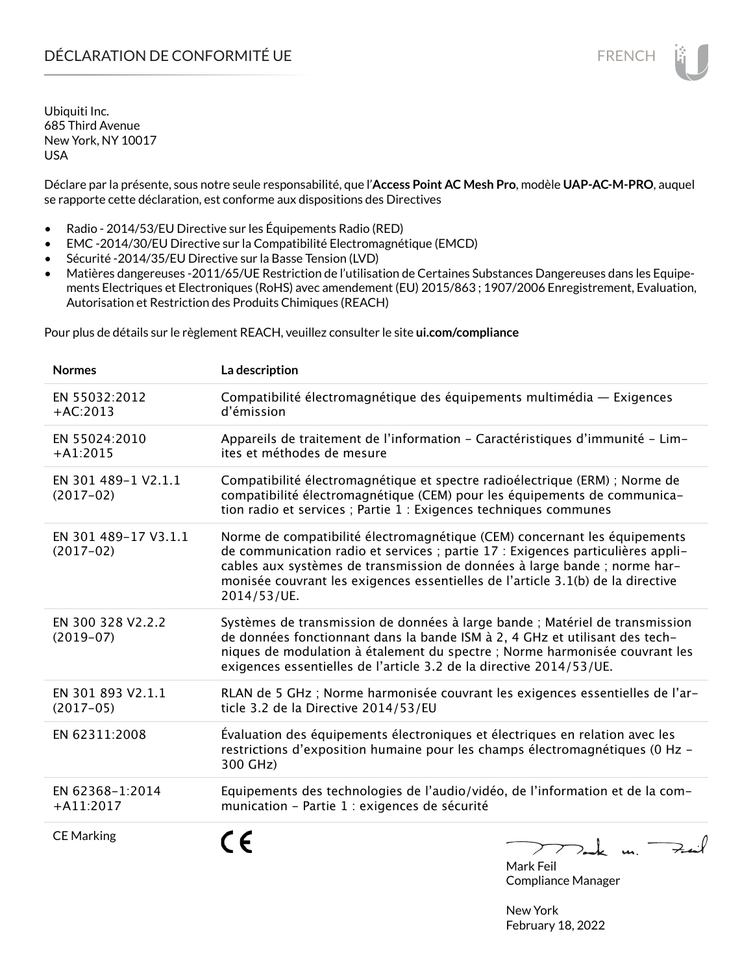Déclare par la présente, sous notre seule responsabilité, que l'**Access Point AC Mesh Pro**, modèle **UAP-AC-M-PRO**, auquel se rapporte cette déclaration, est conforme aux dispositions des Directives

- Radio 2014/53/EU Directive sur les Équipements Radio (RED)
- EMC -2014/30/EU Directive sur la Compatibilité Electromagnétique (EMCD)
- Sécurité -2014/35/EU Directive sur la Basse Tension (LVD)
- Matières dangereuses -2011/65/UE Restriction de l'utilisation de Certaines Substances Dangereuses dans les Equipements Electriques et Electroniques (RoHS) avec amendement (EU) 2015/863 ; 1907/2006 Enregistrement, Evaluation, Autorisation et Restriction des Produits Chimiques (REACH)

Pour plus de détails sur le règlement REACH, veuillez consulter le site **ui.com/compliance**

| <b>Normes</b>                       | La description                                                                                                                                                                                                                                                                                                                              |
|-------------------------------------|---------------------------------------------------------------------------------------------------------------------------------------------------------------------------------------------------------------------------------------------------------------------------------------------------------------------------------------------|
| EN 55032:2012<br>$+AC:2013$         | Compatibilité électromagnétique des équipements multimédia — Exigences<br>d'émission                                                                                                                                                                                                                                                        |
| EN 55024:2010<br>$+A1:2015$         | Appareils de traitement de l'information - Caractéristiques d'immunité - Lim-<br>ites et méthodes de mesure                                                                                                                                                                                                                                 |
| EN 301 489-1 V2.1.1<br>$(2017-02)$  | Compatibilité électromagnétique et spectre radioélectrique (ERM) ; Norme de<br>compatibilité électromagnétique (CEM) pour les équipements de communica-<br>tion radio et services ; Partie 1 : Exigences techniques communes                                                                                                                |
| EN 301 489-17 V3.1.1<br>$(2017-02)$ | Norme de compatibilité électromagnétique (CEM) concernant les équipements<br>de communication radio et services ; partie 17 : Exigences particulières appli-<br>cables aux systèmes de transmission de données à large bande ; norme har-<br>monisée couvrant les exigences essentielles de l'article 3.1(b) de la directive<br>2014/53/UE. |
| EN 300 328 V2.2.2<br>$(2019-07)$    | Systèmes de transmission de données à large bande ; Matériel de transmission<br>de données fonctionnant dans la bande ISM à 2, 4 GHz et utilisant des tech-<br>niques de modulation à étalement du spectre ; Norme harmonisée couvrant les<br>exigences essentielles de l'article 3.2 de la directive 2014/53/UE.                           |
| EN 301 893 V2.1.1<br>$(2017-05)$    | RLAN de 5 GHz ; Norme harmonisée couvrant les exigences essentielles de l'ar-<br>ticle 3.2 de la Directive 2014/53/EU                                                                                                                                                                                                                       |
| EN 62311:2008                       | Évaluation des équipements électroniques et électriques en relation avec les<br>restrictions d'exposition humaine pour les champs électromagnétiques (0 Hz -<br>300 GHz)                                                                                                                                                                    |
| EN 62368-1:2014<br>$+A11:2017$      | Equipements des technologies de l'audio/vidéo, de l'information et de la com-<br>munication - Partie 1 : exigences de sécurité                                                                                                                                                                                                              |
| <b>CE Marking</b>                   | mak m. Fail<br>$M = 1.5$                                                                                                                                                                                                                                                                                                                    |



Compliance Manager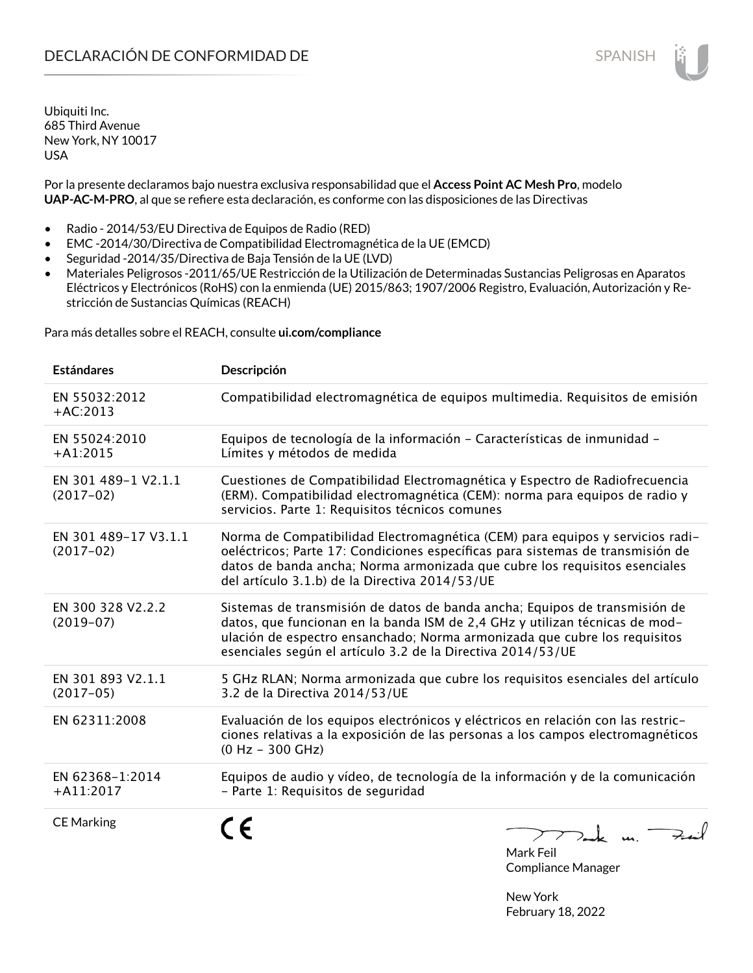Por la presente declaramos bajo nuestra exclusiva responsabilidad que el **Access Point AC Mesh Pro**, modelo **UAP-AC-M-PRO**, al que se refiere esta declaración, es conforme con las disposiciones de las Directivas

- Radio 2014/53/EU Directiva de Equipos de Radio (RED)
- EMC -2014/30/Directiva de Compatibilidad Electromagnética de la UE (EMCD)
- Seguridad -2014/35/Directiva de Baja Tensión de la UE (LVD)
- Materiales Peligrosos -2011/65/UE Restricción de la Utilización de Determinadas Sustancias Peligrosas en Aparatos Eléctricos y Electrónicos (RoHS) con la enmienda (UE) 2015/863; 1907/2006 Registro, Evaluación, Autorización y Restricción de Sustancias Químicas (REACH)

Para más detalles sobre el REACH, consulte **ui.com/compliance**

| <b>Estándares</b>                   | Descripción                                                                                                                                                                                                                                                                                           |
|-------------------------------------|-------------------------------------------------------------------------------------------------------------------------------------------------------------------------------------------------------------------------------------------------------------------------------------------------------|
| EN 55032:2012<br>$+AC:2013$         | Compatibilidad electromagnética de equipos multimedia. Requisitos de emisión                                                                                                                                                                                                                          |
| EN 55024:2010<br>$+A1:2015$         | Equipos de tecnología de la información - Características de inmunidad -<br>Límites y métodos de medida                                                                                                                                                                                               |
| EN 301 489-1 V2.1.1<br>$(2017-02)$  | Cuestiones de Compatibilidad Electromagnética y Espectro de Radiofrecuencia<br>(ERM). Compatibilidad electromagnética (CEM): norma para equipos de radio y<br>servicios. Parte 1: Requisitos técnicos comunes                                                                                         |
| EN 301 489-17 V3.1.1<br>$(2017-02)$ | Norma de Compatibilidad Electromagnética (CEM) para equipos y servicios radi-<br>oeléctricos; Parte 17: Condiciones específicas para sistemas de transmisión de<br>datos de banda ancha; Norma armonizada que cubre los requisitos esenciales<br>del artículo 3.1.b) de la Directiva 2014/53/UE       |
| EN 300 328 V2.2.2<br>$(2019-07)$    | Sistemas de transmisión de datos de banda ancha; Equipos de transmisión de<br>datos, que funcionan en la banda ISM de 2,4 GHz y utilizan técnicas de mod-<br>ulación de espectro ensanchado; Norma armonizada que cubre los requisitos<br>esenciales según el artículo 3.2 de la Directiva 2014/53/UE |
| EN 301 893 V2.1.1<br>$(2017-05)$    | 5 GHz RLAN; Norma armonizada que cubre los requisitos esenciales del artículo<br>3.2 de la Directiva 2014/53/UE                                                                                                                                                                                       |
| EN 62311:2008                       | Evaluación de los equipos electrónicos y eléctricos en relación con las restric-<br>ciones relativas a la exposición de las personas a los campos electromagnéticos<br>$(0 Hz - 300 GHz)$                                                                                                             |
| EN 62368-1:2014<br>$+A11:2017$      | Equipos de audio y vídeo, de tecnología de la información y de la comunicación<br>- Parte 1: Requisitos de seguridad                                                                                                                                                                                  |
| <b>CE Marking</b>                   | Dank un Fail<br>$M_{\odot}$ ulz $\Gamma_{\odot}$ il $\blacksquare$                                                                                                                                                                                                                                    |

Mark Feil Compliance Manager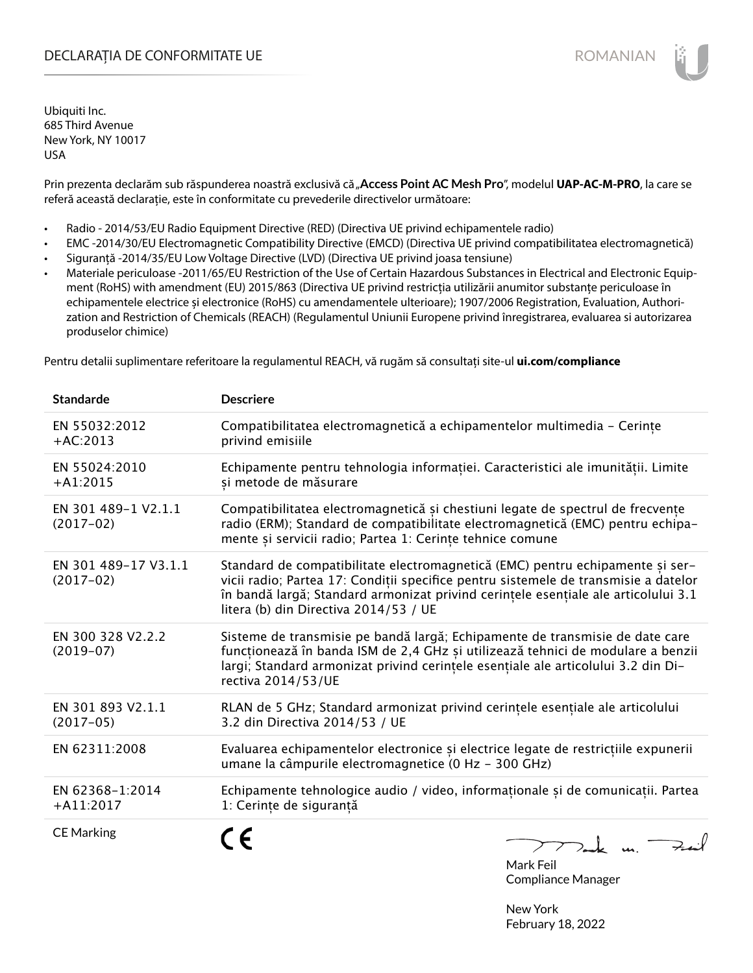# DECLARAȚIA DE CONFORMITATE UE EXECUTE DE ROMANIAN

Ubiquiti Inc. 685 Third Avenue New York, NY 10017 USA

Prin prezenta declarăm sub răspunderea noastră exclusivă că "**Access Point AC Mesh Pro**", modelul **UAP-AC-M-PRO**, la care se referă această declarație, este în conformitate cu prevederile directivelor următoare:

- Radio 2014/53/EU Radio Equipment Directive (RED) (Directiva UE privind echipamentele radio)
- EMC -2014/30/EU Electromagnetic Compatibility Directive (EMCD) (Directiva UE privind compatibilitatea electromagnetică)
- Siguranță -2014/35/EU Low Voltage Directive (LVD) (Directiva UE privind joasa tensiune)
- Materiale periculoase -2011/65/EU Restriction of the Use of Certain Hazardous Substances in Electrical and Electronic Equipment (RoHS) with amendment (EU) 2015/863 (Directiva UE privind restricția utilizării anumitor substanțe periculoase în echipamentele electrice și electronice (RoHS) cu amendamentele ulterioare); 1907/2006 Registration, Evaluation, Authorization and Restriction of Chemicals (REACH) (Regulamentul Uniunii Europene privind înregistrarea, evaluarea si autorizarea produselor chimice)

Pentru detalii suplimentare referitoare la regulamentul REACH, vă rugăm să consultați site-ul **ui.com/compliance**

| <b>Standarde</b>                    | <b>Descriere</b>                                                                                                                                                                                                                                                                                    |
|-------------------------------------|-----------------------------------------------------------------------------------------------------------------------------------------------------------------------------------------------------------------------------------------------------------------------------------------------------|
| EN 55032:2012<br>$+AC:2013$         | Compatibilitatea electromagnetică a echipamentelor multimedia - Cerințe<br>privind emisiile                                                                                                                                                                                                         |
| EN 55024:2010<br>$+A1:2015$         | Echipamente pentru tehnologia informației. Caracteristici ale imunității. Limite<br>și metode de măsurare                                                                                                                                                                                           |
| EN 301 489-1 V2.1.1<br>$(2017-02)$  | Compatibilitatea electromagnetică și chestiuni legate de spectrul de frecvențe<br>radio (ERM); Standard de compatibilitate electromagnetică (EMC) pentru echipa-<br>mente și servicii radio; Partea 1: Cerințe tehnice comune                                                                       |
| EN 301 489-17 V3.1.1<br>$(2017-02)$ | Standard de compatibilitate electromagnetică (EMC) pentru echipamente și ser-<br>vicii radio; Partea 17: Condiții specifice pentru sistemele de transmisie a datelor<br>în bandă largă; Standard armonizat privind cerințele esențiale ale articolului 3.1<br>litera (b) din Directiva 2014/53 / UE |
| EN 300 328 V2.2.2<br>$(2019-07)$    | Sisteme de transmisie pe bandă largă; Echipamente de transmisie de date care<br>funcționează în banda ISM de 2,4 GHz și utilizează tehnici de modulare a benzii<br>largi; Standard armonizat privind cerințele esențiale ale articolului 3.2 din Di-<br>rectiva 2014/53/UE                          |
| EN 301 893 V2.1.1<br>$(2017-05)$    | RLAN de 5 GHz; Standard armonizat privind cerințele esențiale ale articolului<br>3.2 din Directiva 2014/53 / UE                                                                                                                                                                                     |
| EN 62311:2008                       | Evaluarea echipamentelor electronice și electrice legate de restricțiile expunerii<br>umane la câmpurile electromagnetice (0 Hz - 300 GHz)                                                                                                                                                          |
| EN 62368-1:2014<br>$+$ A11:2017     | Echipamente tehnologice audio / video, informaționale și de comunicații. Partea<br>1: Cerințe de siguranță                                                                                                                                                                                          |
| <b>CE Marking</b>                   | Thank un Fait                                                                                                                                                                                                                                                                                       |

Mark Feil Compliance Manager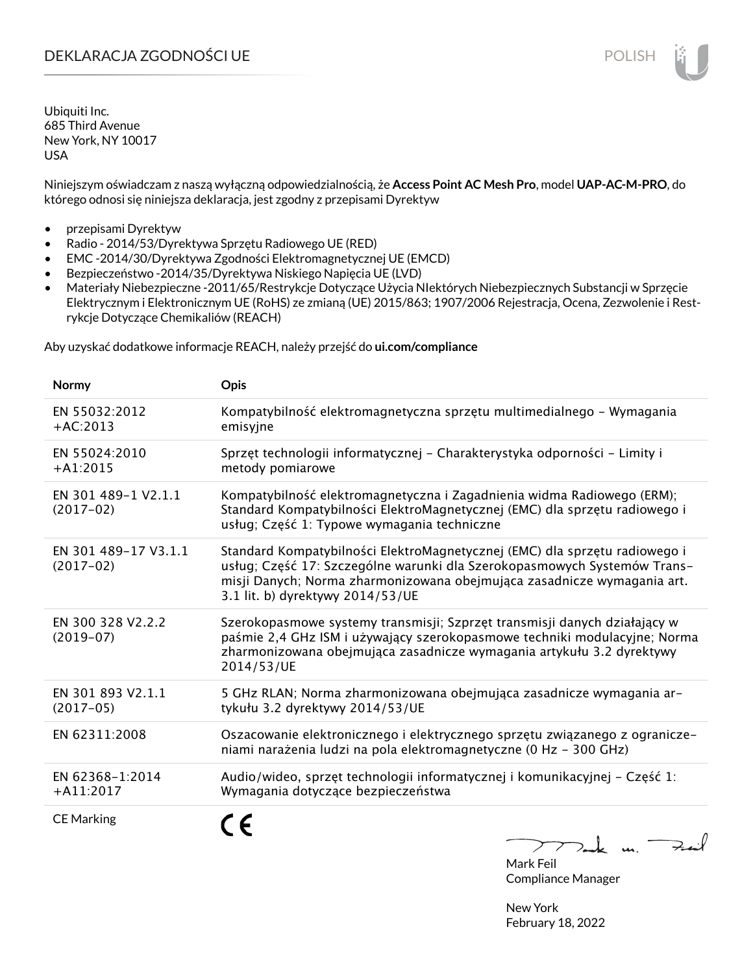Niniejszym oświadczam z naszą wyłączną odpowiedzialnością, że **Access Point AC Mesh Pro**, model **UAP-AC-M-PRO**, do którego odnosi się niniejsza deklaracja, jest zgodny z przepisami Dyrektyw

- przepisami Dyrektyw
- Radio 2014/53/Dyrektywa Sprzętu Radiowego UE (RED)
- EMC -2014/30/Dyrektywa Zgodności Elektromagnetycznej UE (EMCD)
- Bezpieczeństwo -2014/35/Dyrektywa Niskiego Napięcia UE (LVD)
- Materiały Niebezpieczne -2011/65/Restrykcje Dotyczące Użycia NIektórych Niebezpiecznych Substancji w Sprzęcie Elektrycznym i Elektronicznym UE (RoHS) ze zmianą (UE) 2015/863; 1907/2006 Rejestracja, Ocena, Zezwolenie i Restrykcje Dotyczące Chemikaliów (REACH)

Aby uzyskać dodatkowe informacje REACH, należy przejść do **ui.com/compliance**

| <b>Normy</b>                        | <b>Opis</b>                                                                                                                                                                                                                                                           |
|-------------------------------------|-----------------------------------------------------------------------------------------------------------------------------------------------------------------------------------------------------------------------------------------------------------------------|
| EN 55032:2012<br>$+AC:2013$         | Kompatybilność elektromagnetyczna sprzętu multimedialnego – Wymagania<br>emisyjne                                                                                                                                                                                     |
| EN 55024:2010<br>$+A1:2015$         | Sprzęt technologii informatycznej - Charakterystyka odporności - Limity i<br>metody pomiarowe                                                                                                                                                                         |
| EN 301 489-1 V2.1.1<br>$(2017-02)$  | Kompatybilność elektromagnetyczna i Zagadnienia widma Radiowego (ERM);<br>Standard Kompatybilności ElektroMagnetycznej (EMC) dla sprzętu radiowego i<br>usług; Część 1: Typowe wymagania techniczne                                                                   |
| EN 301 489-17 V3.1.1<br>$(2017-02)$ | Standard Kompatybilności ElektroMagnetycznej (EMC) dla sprzętu radiowego i<br>usług; Część 17: Szczególne warunki dla Szerokopasmowych Systemów Trans-<br>misji Danych; Norma zharmonizowana obejmująca zasadnicze wymagania art.<br>3.1 lit. b) dyrektywy 2014/53/UE |
| EN 300 328 V2.2.2<br>$(2019-07)$    | Szerokopasmowe systemy transmisji; Szprzęt transmisji danych działający w<br>paśmie 2,4 GHz ISM i używający szerokopasmowe techniki modulacyjne; Norma<br>zharmonizowana obejmująca zasadnicze wymagania artykułu 3.2 dyrektywy<br>2014/53/UE                         |
| EN 301 893 V2.1.1<br>$(2017-05)$    | 5 GHz RLAN; Norma zharmonizowana obejmująca zasadnicze wymagania ar-<br>tykułu 3.2 dyrektywy 2014/53/UE                                                                                                                                                               |
| EN 62311:2008                       | Oszacowanie elektronicznego i elektrycznego sprzętu związanego z ogranicze-<br>niami narażenia ludzi na pola elektromagnetyczne (0 Hz - 300 GHz)                                                                                                                      |
| EN 62368-1:2014<br>$+A11:2017$      | Audio/wideo, sprzęt technologii informatycznej i komunikacyjnej - Część 1:<br>Wymagania dotyczące bezpieczeństwa                                                                                                                                                      |
| <b>CE Marking</b>                   | ><br>u.                                                                                                                                                                                                                                                               |

Mark Feil Compliance Manager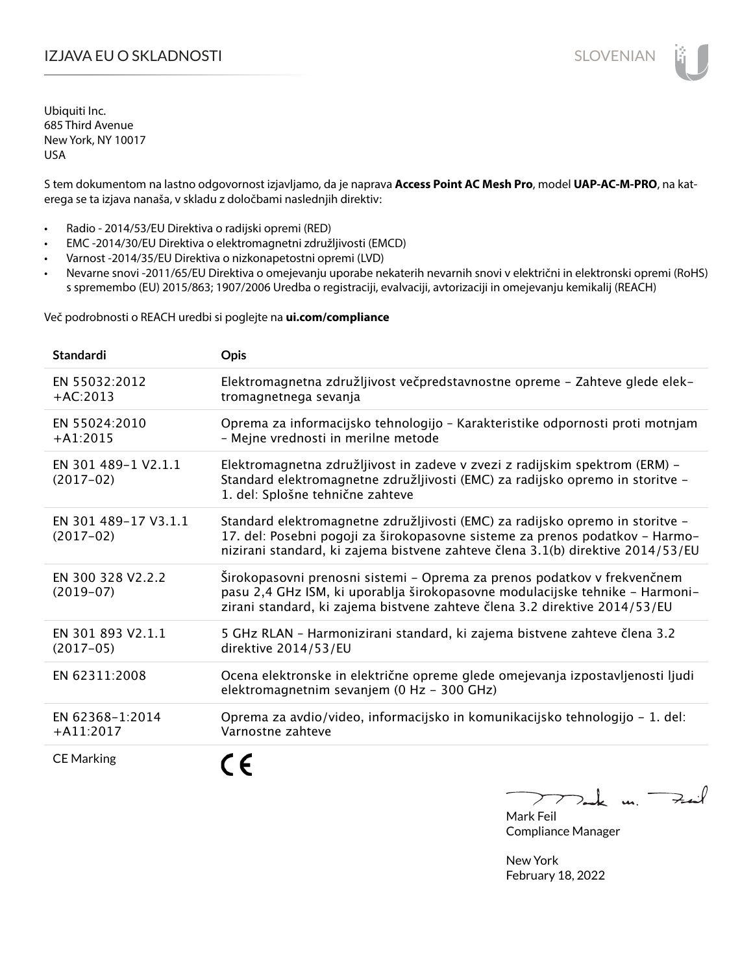# IZJAVA EU O SKLADNOSTI SLOVENIAN SLOVENIAN

Ubiquiti Inc. 685 Third Avenue New York, NY 10017 USA

S tem dokumentom na lastno odgovornost izjavljamo, da je naprava **Access Point AC Mesh Pro**, model **UAP-AC-M-PRO**, na katerega se ta izjava nanaša, v skladu z določbami naslednjih direktiv:

- Radio 2014/53/EU Direktiva o radijski opremi (RED)
- EMC -2014/30/EU Direktiva o elektromagnetni združljivosti (EMCD)
- Varnost -2014/35/EU Direktiva o nizkonapetostni opremi (LVD)
- Nevarne snovi -2011/65/EU Direktiva o omejevanju uporabe nekaterih nevarnih snovi v električni in elektronski opremi (RoHS) s spremembo (EU) 2015/863; 1907/2006 Uredba o registraciji, evalvaciji, avtorizaciji in omejevanju kemikalij (REACH)

Več podrobnosti o REACH uredbi si poglejte na **ui.com/compliance**

| Standardi                           | Opis                                                                                                                                                                                                                                             |
|-------------------------------------|--------------------------------------------------------------------------------------------------------------------------------------------------------------------------------------------------------------------------------------------------|
| EN 55032:2012<br>$+AC:2013$         | Elektromagnetna združljivost večpredstavnostne opreme - Zahteve glede elek-<br>tromagnetnega sevanja                                                                                                                                             |
| EN 55024:2010<br>$+A1:2015$         | Oprema za informacijsko tehnologijo - Karakteristike odpornosti proti motnjam<br>- Mejne vrednosti in merilne metode                                                                                                                             |
| EN 301 489-1 V2.1.1<br>$(2017-02)$  | Elektromagnetna združljivost in zadeve v zvezi z radijskim spektrom (ERM) -<br>Standard elektromagnetne združljivosti (EMC) za radijsko opremo in storitve -<br>1. del: Splošne tehnične zahteve                                                 |
| EN 301 489-17 V3.1.1<br>$(2017-02)$ | Standard elektromagnetne združljivosti (EMC) za radijsko opremo in storitve -<br>17. del: Posebni pogoji za širokopasovne sisteme za prenos podatkov - Harmo-<br>nizirani standard, ki zajema bistvene zahteve člena 3.1(b) direktive 2014/53/EU |
| EN 300 328 V2.2.2<br>$(2019-07)$    | Širokopasovni prenosni sistemi - Oprema za prenos podatkov v frekvenčnem<br>pasu 2,4 GHz ISM, ki uporablja širokopasovne modulacijske tehnike - Harmoni-<br>zirani standard, ki zajema bistvene zahteve člena 3.2 direktive 2014/53/EU           |
| EN 301 893 V2.1.1<br>$(2017-05)$    | 5 GHz RLAN - Harmonizirani standard, ki zajema bistvene zahteve člena 3.2<br>direktive 2014/53/EU                                                                                                                                                |
| EN 62311:2008                       | Ocena elektronske in električne opreme glede omejevanja izpostavljenosti ljudi<br>elektromagnetnim sevanjem (0 Hz - 300 GHz)                                                                                                                     |
| EN 62368-1:2014<br>$+$ A11:2017     | Oprema za avdio/video, informacijsko in komunikacijsko tehnologijo – 1. del:<br>Varnostne zahteve                                                                                                                                                |
| <b>CE Marking</b>                   |                                                                                                                                                                                                                                                  |

Tak un  $\rightarrow$ 

Mark Feil Compliance Manager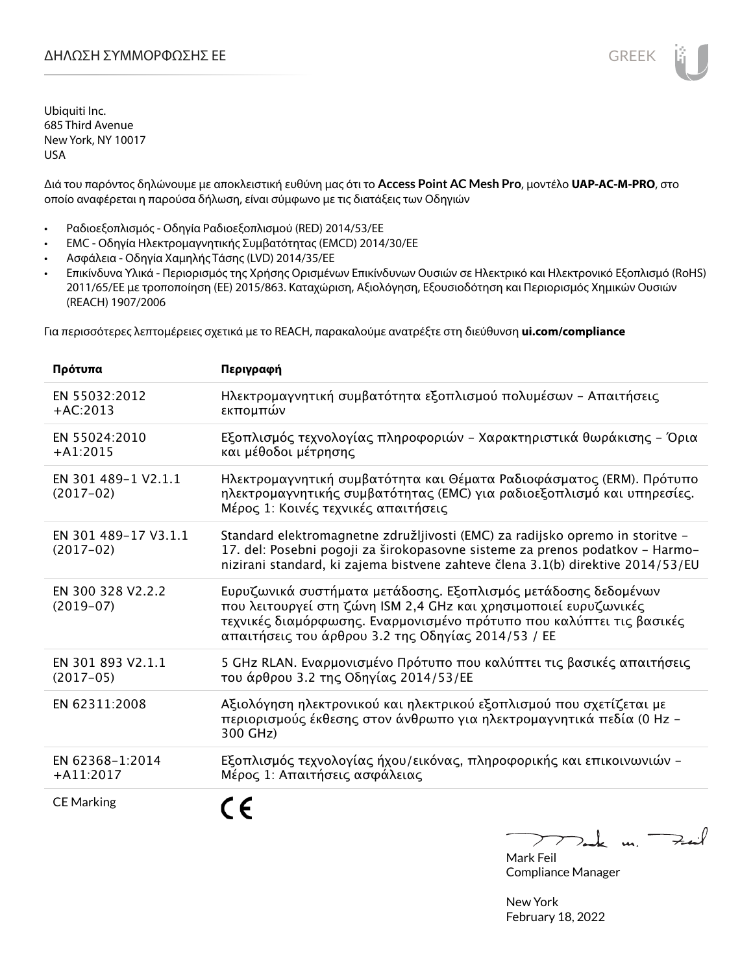Διά του παρόντος δηλώνουμε με αποκλειστική ευθύνη μας ότι το **Access Point AC Mesh Pro**, μοντέλο **UAP-AC-M-PRO**, στο οποίο αναφέρεται η παρούσα δήλωση, είναι σύμφωνο με τις διατάξεις των Οδηγιών

- Ραδιοεξοπλισμός Οδηγία Ραδιοεξοπλισμού (RED) 2014/53/ΕΕ
- EMC Οδηγία Ηλεκτρομαγνητικής Συμβατότητας (EMCD) 2014/30/ΕΕ
- Ασφάλεια Οδηγία Χαμηλής Τάσης (LVD) 2014/35/ΕΕ
- Επικίνδυνα Υλικά Περιορισμός της Χρήσης Ορισμένων Επικίνδυνων Ουσιών σε Ηλεκτρικό και Ηλεκτρονικό Εξοπλισμό (RoHS) 2011/65/ΕΕ με τροποποίηση (ΕΕ) 2015/863. Καταχώριση, Αξιολόγηση, Εξουσιοδότηση και Περιορισμός Χημικών Ουσιών (REACH) 1907/2006

Για περισσότερες λεπτομέρειες σχετικά με το REACH, παρακαλούμε ανατρέξτε στη διεύθυνση **ui.com/compliance**

| Πρότυπα                             | Περιγραφή                                                                                                                                                                                                                                                        |
|-------------------------------------|------------------------------------------------------------------------------------------------------------------------------------------------------------------------------------------------------------------------------------------------------------------|
| EN 55032:2012<br>$+AC:2013$         | Ηλεκτρομαγνητική συμβατότητα εξοπλισμού πολυμέσων - Απαιτήσεις<br>εκπομπών                                                                                                                                                                                       |
| EN 55024:2010<br>$+A1:2015$         | Εξοπλισμός τεχνολογίας πληροφοριών - Χαρακτηριστικά θωράκισης - Όρια<br>και μέθοδοι μέτρησης                                                                                                                                                                     |
| EN 301 489-1 V2.1.1<br>$(2017-02)$  | Ηλεκτρομαγνητική συμβατότητα και Θέματα Ραδιοφάσματος (ERM). Πρότυπο<br>ηλεκτρομαγνητικής συμβατότητας (ΕΜC) για ραδιοεξοπλισμό και υπηρεσίες.<br>Μέρος 1: Κοινές τεχνικές απαιτήσεις                                                                            |
| EN 301 489-17 V3.1.1<br>$(2017-02)$ | Standard elektromagnetne združljivosti (EMC) za radijsko opremo in storitve -<br>17. del: Posebni pogoji za širokopasovne sisteme za prenos podatkov - Harmo-<br>nizirani standard, ki zajema bistvene zahteve člena 3.1(b) direktive 2014/53/EU                 |
| EN 300 328 V2.2.2<br>$(2019-07)$    | Ευρυζωνικά συστήματα μετάδοσης. Εξοπλισμός μετάδοσης δεδομένων<br>που λειτουργεί στη ζώνη ISM 2,4 GHz και χρησιμοποιεί ευρυζωνικές<br>τεχνικές διαμόρφωσης. Εναρμονισμένο πρότυπο που καλύπτει τις βασικές<br>απαιτήσεις του άρθρου 3.2 της Οδηγίας 2014/53 / ΕΕ |
| EN 301 893 V2.1.1<br>$(2017-05)$    | 5 GHz RLAN. Εναρμονισμένο Πρότυπο που καλύπτει τις βασικές απαιτήσεις<br>του άρθρου 3.2 της Οδηγίας 2014/53/ΕΕ                                                                                                                                                   |
| EN 62311:2008                       | Αξιολόγηση ηλεκτρονικού και ηλεκτρικού εξοπλισμού που σχετίζεται με<br>περιορισμούς έκθεσης στον άνθρωπο για ηλεκτρομαγνητικά πεδία (0 Hz -<br>300 GHz)                                                                                                          |
| EN 62368-1:2014<br>$+A11:2017$      | Εξοπλισμός τεχνολογίας ήχου/εικόνας, πληροφορικής και επικοινωνιών -<br>Μέρος 1: Απαιτήσεις ασφάλειας                                                                                                                                                            |
| <b>CE Marking</b>                   |                                                                                                                                                                                                                                                                  |

Tak m. Fail

Mark Feil Compliance Manager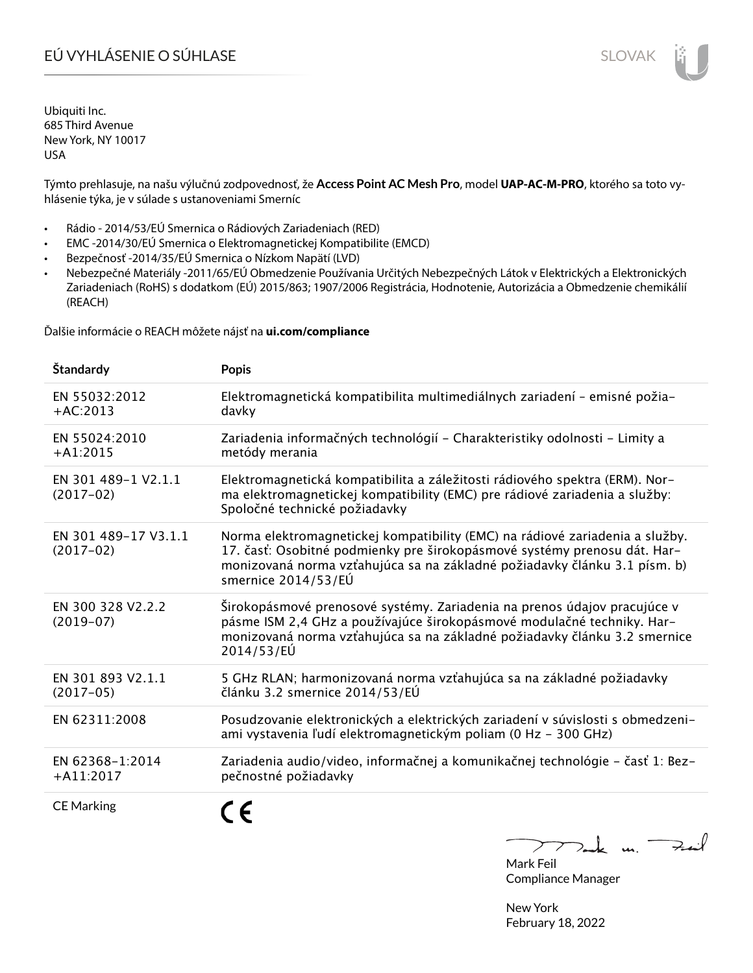# EÚ VYHLÁSENIE O SÚHLASE SLOVAK SLOVAK

Ubiquiti Inc. 685 Third Avenue New York, NY 10017 USA

Týmto prehlasuje, na našu výlučnú zodpovednosť, že **Access Point AC Mesh Pro**, model **UAP-AC-M-PRO**, ktorého sa toto vyhlásenie týka, je v súlade s ustanoveniami Smerníc

- Rádio 2014/53/EÚ Smernica o Rádiových Zariadeniach (RED)
- EMC -2014/30/EÚ Smernica o Elektromagnetickej Kompatibilite (EMCD)
- Bezpečnosť -2014/35/EÚ Smernica o Nízkom Napätí (LVD)
- Nebezpečné Materiály -2011/65/EÚ Obmedzenie Používania Určitých Nebezpečných Látok v Elektrických a Elektronických Zariadeniach (RoHS) s dodatkom (EÚ) 2015/863; 1907/2006 Registrácia, Hodnotenie, Autorizácia a Obmedzenie chemikálií (REACH)

Ďalšie informácie o REACH môžete nájsť na **ui.com/compliance**

| <b>Standardy</b>                    | <b>Popis</b>                                                                                                                                                                                                                                                 |
|-------------------------------------|--------------------------------------------------------------------------------------------------------------------------------------------------------------------------------------------------------------------------------------------------------------|
| EN 55032:2012<br>$+AC:2013$         | Elektromagnetická kompatibilita multimediálnych zariadení - emisné požia-<br>davky                                                                                                                                                                           |
| EN 55024:2010<br>$+A1:2015$         | Zariadenia informačných technológií - Charakteristiky odolnosti - Limity a<br>metódy merania                                                                                                                                                                 |
| EN 301 489-1 V2.1.1<br>$(2017-02)$  | Elektromagnetická kompatibilita a záležitosti rádiového spektra (ERM). Nor-<br>ma elektromagnetickej kompatibility (EMC) pre rádiové zariadenia a služby:<br>Spoločné technické požiadavky                                                                   |
| EN 301 489-17 V3.1.1<br>$(2017-02)$ | Norma elektromagnetickej kompatibility (EMC) na rádiové zariadenia a služby.<br>17. časť: Osobitné podmienky pre širokopásmové systémy prenosu dát. Har-<br>monizovaná norma vzťahujúca sa na základné požiadavky článku 3.1 písm. b)<br>smernice 2014/53/EÚ |
| EN 300 328 V2.2.2<br>$(2019-07)$    | Širokopásmové prenosové systémy. Zariadenia na prenos údajov pracujúce v<br>pásme ISM 2,4 GHz a používajúce širokopásmové modulačné techniky. Har-<br>monizovaná norma vzťahujúca sa na základné požiadavky článku 3.2 smernice<br>2014/53/EÚ                |
| EN 301 893 V2.1.1<br>$(2017-05)$    | 5 GHz RLAN; harmonizovaná norma vzťahujúca sa na základné požiadavky<br>článku 3.2 smernice 2014/53/EÚ                                                                                                                                                       |
| EN 62311:2008                       | Posudzovanie elektronických a elektrických zariadení v súvislosti s obmedzeni-<br>ami vystavenia ľudí elektromagnetickým poliam (0 Hz - 300 GHz)                                                                                                             |
| EN 62368-1:2014<br>$+$ A11:2017     | Zariadenia audio/video, informačnej a komunikačnej technológie - časť 1: Bez-<br>pečnostné požiadavky                                                                                                                                                        |
| <b>CE Marking</b>                   | $\epsilon$                                                                                                                                                                                                                                                   |

 $k$  m. Fail  $\overline{\phantom{a}}$  $\mathcal{L}$ 

Mark Feil Compliance Manager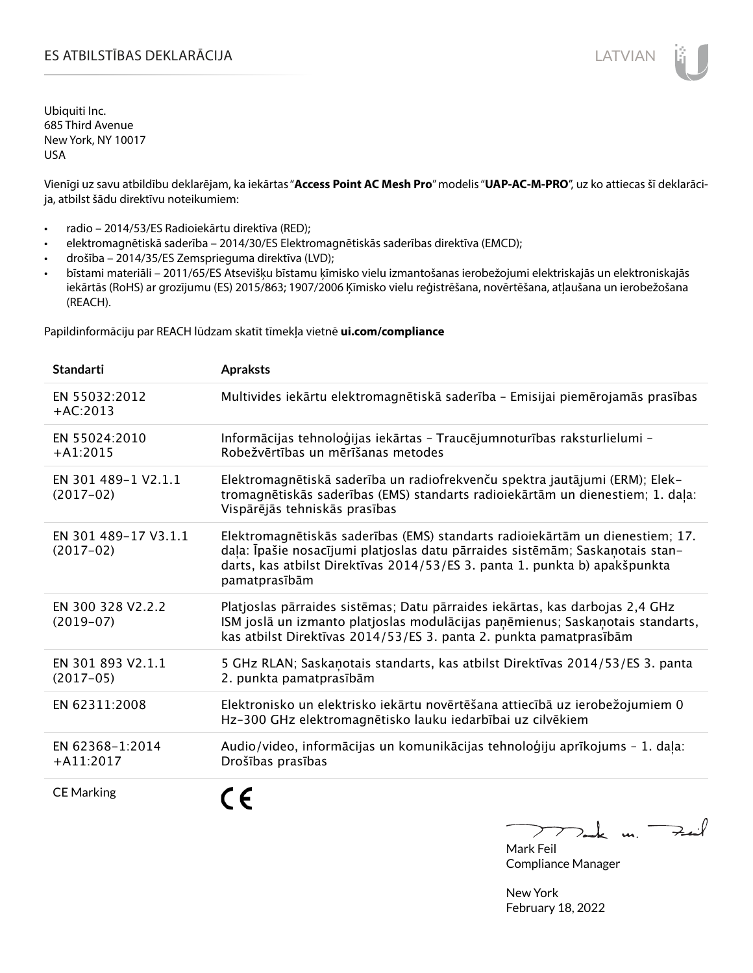# ES ATBILSTĪBAS DEKLARĀCIJA LATVIAN

Ubiquiti Inc. 685 Third Avenue New York, NY 10017 USA

Vienīgi uz savu atbildību deklarējam, ka iekārtas "**Access Point AC Mesh Pro**" modelis "**UAP-AC-M-PRO**", uz ko attiecas šī deklarācija, atbilst šādu direktīvu noteikumiem:

- radio 2014/53/ES Radioiekārtu direktīva (RED);
- elektromagnētiskā saderība 2014/30/ES Elektromagnētiskās saderības direktīva (EMCD);
- drošība 2014/35/ES Zemsprieguma direktīva (LVD);
- bīstami materiāli 2011/65/ES Atsevišķu bīstamu ķīmisko vielu izmantošanas ierobežojumi elektriskajās un elektroniskajās iekārtās (RoHS) ar grozījumu (ES) 2015/863; 1907/2006 Ķīmisko vielu reģistrēšana, novērtēšana, atļaušana un ierobežošana (REACH).

Papildinformāciju par REACH lūdzam skatīt tīmekļa vietnē **ui.com/compliance**

| <b>Standarti</b>                    | <b>Apraksts</b>                                                                                                                                                                                                                                               |
|-------------------------------------|---------------------------------------------------------------------------------------------------------------------------------------------------------------------------------------------------------------------------------------------------------------|
| EN 55032:2012<br>$+AC:2013$         | Multivides iekārtu elektromagnētiskā saderība - Emisijai piemērojamās prasības                                                                                                                                                                                |
| EN 55024:2010<br>$+A1:2015$         | Informācijas tehnoloģijas iekārtas - Traucējumnoturības raksturlielumi -<br>Robežvērtības un mērīšanas metodes                                                                                                                                                |
| EN 301 489-1 V2.1.1<br>$(2017-02)$  | Elektromagnētiskā saderība un radiofrekvenču spektra jautājumi (ERM); Elek-<br>tromagnētiskās saderības (EMS) standarts radioiekārtām un dienestiem; 1. daļa:<br>Vispārējās tehniskās prasības                                                                |
| EN 301 489-17 V3.1.1<br>$(2017-02)$ | Elektromagnētiskās saderības (EMS) standarts radioiekārtām un dienestiem; 17.<br>daļa: Īpašie nosacījumi platjoslas datu pārraides sistēmām; Saskaņotais stan-<br>darts, kas atbilst Direktīvas 2014/53/ES 3. panta 1. punkta b) apakšpunkta<br>pamatprasībām |
| EN 300 328 V2.2.2<br>$(2019-07)$    | Platjoslas pārraides sistēmas; Datu pārraides iekārtas, kas darbojas 2,4 GHz<br>ISM joslā un izmanto platjoslas modulācijas paņēmienus; Saskaņotais standarts,<br>kas atbilst Direktīvas 2014/53/ES 3. panta 2. punkta pamatprasībām                          |
| EN 301 893 V2.1.1<br>$(2017-05)$    | 5 GHz RLAN; Saskaņotais standarts, kas atbilst Direktīvas 2014/53/ES 3. panta<br>2. punkta pamatprasībām                                                                                                                                                      |
| EN 62311:2008                       | Elektronisko un elektrisko iekārtu novērtēšana attiecībā uz ierobežojumiem 0<br>Hz-300 GHz elektromagnētisko lauku iedarbībai uz cilvēkiem                                                                                                                    |
| EN 62368-1:2014<br>$+$ A11:2017     | Audio/video, informācijas un komunikācijas tehnoloģiju aprīkojums - 1. daļa:<br>Drošības prasības                                                                                                                                                             |
| <b>CE Marking</b>                   |                                                                                                                                                                                                                                                               |

m. Fail Mark Feil

Compliance Manager